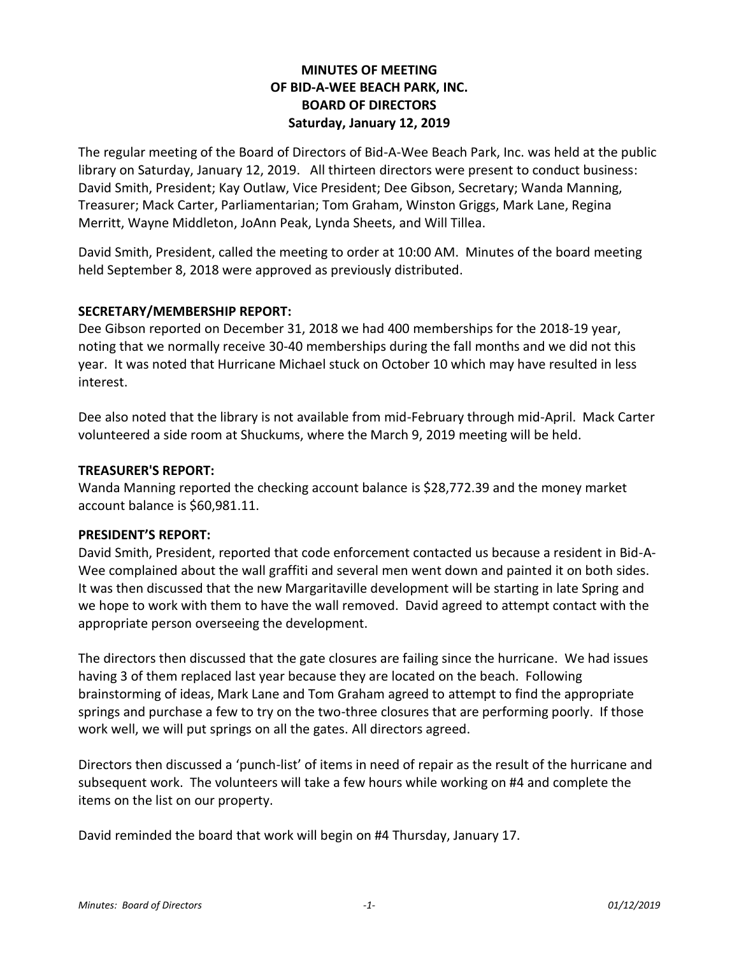## **MINUTES OF MEETING OF BID-A-WEE BEACH PARK, INC. BOARD OF DIRECTORS Saturday, January 12, 2019**

The regular meeting of the Board of Directors of Bid-A-Wee Beach Park, Inc. was held at the public library on Saturday, January 12, 2019. All thirteen directors were present to conduct business: David Smith, President; Kay Outlaw, Vice President; Dee Gibson, Secretary; Wanda Manning, Treasurer; Mack Carter, Parliamentarian; Tom Graham, Winston Griggs, Mark Lane, Regina Merritt, Wayne Middleton, JoAnn Peak, Lynda Sheets, and Will Tillea.

David Smith, President, called the meeting to order at 10:00 AM. Minutes of the board meeting held September 8, 2018 were approved as previously distributed.

## **SECRETARY/MEMBERSHIP REPORT:**

Dee Gibson reported on December 31, 2018 we had 400 memberships for the 2018-19 year, noting that we normally receive 30-40 memberships during the fall months and we did not this year. It was noted that Hurricane Michael stuck on October 10 which may have resulted in less interest.

Dee also noted that the library is not available from mid-February through mid-April. Mack Carter volunteered a side room at Shuckums, where the March 9, 2019 meeting will be held.

## **TREASURER'S REPORT:**

Wanda Manning reported the checking account balance is \$28,772.39 and the money market account balance is \$60,981.11.

## **PRESIDENT'S REPORT:**

David Smith, President, reported that code enforcement contacted us because a resident in Bid-A-Wee complained about the wall graffiti and several men went down and painted it on both sides. It was then discussed that the new Margaritaville development will be starting in late Spring and we hope to work with them to have the wall removed. David agreed to attempt contact with the appropriate person overseeing the development.

The directors then discussed that the gate closures are failing since the hurricane. We had issues having 3 of them replaced last year because they are located on the beach. Following brainstorming of ideas, Mark Lane and Tom Graham agreed to attempt to find the appropriate springs and purchase a few to try on the two-three closures that are performing poorly. If those work well, we will put springs on all the gates. All directors agreed.

Directors then discussed a 'punch-list' of items in need of repair as the result of the hurricane and subsequent work. The volunteers will take a few hours while working on #4 and complete the items on the list on our property.

David reminded the board that work will begin on #4 Thursday, January 17.